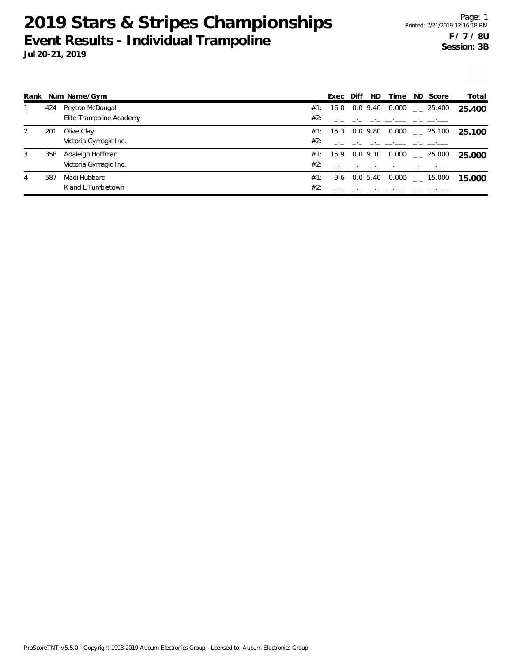|   |     | Rank Num Name/Gym        |     | Exec | Diff | HD | Time | ND Score                                     | Total  |
|---|-----|--------------------------|-----|------|------|----|------|----------------------------------------------|--------|
|   | 424 | Peyton McDougall         |     |      |      |    |      | #1: 16.0 0.0 9.40 0.000 $\frac{1}{2}$ 25.400 | 25.400 |
|   |     | Elite Trampoline Academy | #2: |      |      |    |      |                                              |        |
| 2 | 201 | Olive Clay               |     |      |      |    |      | #1: 15.3 0.0 9.80 0.000 $\leq$ 25.100        | 25.100 |
|   |     | Victoria Gymagic Inc.    | #2: |      |      |    |      |                                              |        |
| 3 | 358 | Adaleigh Hoffman         |     |      |      |    |      | #1: 15.9 0.0 9.10 0.000  25.000              | 25.000 |
|   |     | Victoria Gymagic Inc.    | #2: |      |      |    |      |                                              |        |
| 4 | 587 | Madi Hubbard             | #1: |      |      |    |      | 9.6 0.0 5.40 0.000 $\_\cdot$ 15.000          | 15.000 |
|   |     | K and L Tumbletown       | #2: |      |      |    |      |                                              |        |

ProScoreTNT v5.5.0 - Copyright 1993-2019 Auburn Electronics Group - Licensed to: Auburn Electronics Group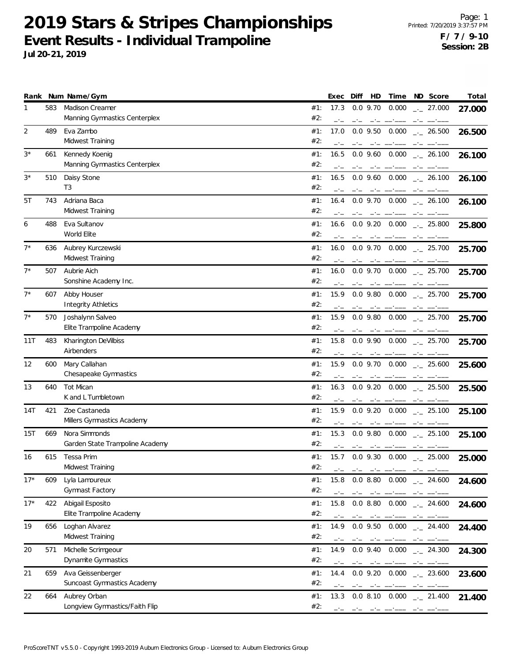Page: 1 Printed: 7/20/2019 3:37:57 PM **F / 7 / 9-10 Session: 2B**

| Rank        |     | Num Name/Gym                       |            | Exec | Diff         | HD         | Time                                                                                                                                                                                                                                                                                                                                                                                                                                                                |      | ND Score                                  | Total  |
|-------------|-----|------------------------------------|------------|------|--------------|------------|---------------------------------------------------------------------------------------------------------------------------------------------------------------------------------------------------------------------------------------------------------------------------------------------------------------------------------------------------------------------------------------------------------------------------------------------------------------------|------|-------------------------------------------|--------|
| 1           | 583 | <b>Madison Creamer</b>             | #1:        | 17.3 |              | $0.0$ 9.70 | 0.000                                                                                                                                                                                                                                                                                                                                                                                                                                                               |      | $\frac{1}{2}$ 27.000                      | 27.000 |
|             |     | Manning Gymnastics Centerplex      | #2:        | $-1$ | $-1$         | $-1$       |                                                                                                                                                                                                                                                                                                                                                                                                                                                                     |      |                                           |        |
| 2           | 489 | Eva Zambo                          | #1:        | 17.0 |              | $0.0$ 9.50 | 0.000                                                                                                                                                                                                                                                                                                                                                                                                                                                               |      | $\frac{1}{2}$ 26.500                      | 26.500 |
|             |     | Midwest Training                   | #2:        |      |              | $-1$ $-1$  |                                                                                                                                                                                                                                                                                                                                                                                                                                                                     |      |                                           |        |
| $3^{\star}$ | 661 | Kennedy Koenig                     | #1:        | 16.5 |              |            | $0.0$ $9.60$ $0.000$                                                                                                                                                                                                                                                                                                                                                                                                                                                |      | $-26.100$                                 | 26.100 |
|             |     | Manning Gymnastics Centerplex      | #2:        |      |              |            |                                                                                                                                                                                                                                                                                                                                                                                                                                                                     |      |                                           |        |
| $3^{\star}$ | 510 |                                    | #1:        | 16.5 |              | $0.0$ 9.60 | 0.000                                                                                                                                                                                                                                                                                                                                                                                                                                                               |      |                                           |        |
|             |     | Daisy Stone<br>T <sub>3</sub>      | #2:        |      |              |            |                                                                                                                                                                                                                                                                                                                                                                                                                                                                     |      | $-26.100$                                 | 26.100 |
|             |     |                                    |            |      |              |            |                                                                                                                                                                                                                                                                                                                                                                                                                                                                     |      |                                           |        |
| 5T          | 743 | Adriana Baca                       | #1:        | 16.4 |              |            | $0.0$ 9.70 $0.000$                                                                                                                                                                                                                                                                                                                                                                                                                                                  |      | $\frac{1}{2}$ 26.100                      | 26.100 |
|             |     | Midwest Training                   | #2:        |      |              |            |                                                                                                                                                                                                                                                                                                                                                                                                                                                                     |      |                                           |        |
| 6           | 488 | Eva Sultanov                       | #1:        | 16.6 |              |            | 0.0 9.20 0.000                                                                                                                                                                                                                                                                                                                                                                                                                                                      |      | $\frac{1}{2}$ 25.800                      | 25.800 |
|             |     | World Elite                        | #2:        |      |              |            |                                                                                                                                                                                                                                                                                                                                                                                                                                                                     |      |                                           |        |
| $7^*$       | 636 | Aubrey Kurczewski                  | #1:        | 16.0 |              | $0.0$ 9.70 | 0.000                                                                                                                                                                                                                                                                                                                                                                                                                                                               |      | $-25.700$                                 | 25.700 |
|             |     | Midwest Training                   | #2:        |      |              |            |                                                                                                                                                                                                                                                                                                                                                                                                                                                                     |      |                                           |        |
| $7^*$       | 507 | Aubrie Aich                        | #1:        | 16.0 |              |            | $0.0$ 9.70 $0.000$                                                                                                                                                                                                                                                                                                                                                                                                                                                  |      | $\frac{1}{2}$ 25.700                      | 25.700 |
|             |     | Sonshine Academy Inc.              | #2:        |      |              |            |                                                                                                                                                                                                                                                                                                                                                                                                                                                                     |      |                                           |        |
| $7^*$       | 607 | Abby Houser                        | #1:        | 15.9 |              |            | $0.0$ 9.80 $0.000$                                                                                                                                                                                                                                                                                                                                                                                                                                                  |      | $\frac{1}{2}$ 25.700                      | 25.700 |
|             |     | <b>Integrity Athletics</b>         | #2:        |      |              |            |                                                                                                                                                                                                                                                                                                                                                                                                                                                                     |      |                                           |        |
| $7^*$       | 570 | Joshalynn Salveo                   | #1:        | 15.9 |              | $0.0$ 9.80 |                                                                                                                                                                                                                                                                                                                                                                                                                                                                     |      | $0.000$ _ 25.700                          |        |
|             |     | Elite Trampoline Academy           | #2:        |      |              |            |                                                                                                                                                                                                                                                                                                                                                                                                                                                                     |      |                                           | 25.700 |
|             |     |                                    |            | $-1$ | $-1$         | $-1$       |                                                                                                                                                                                                                                                                                                                                                                                                                                                                     | $-1$ |                                           |        |
| 11T         | 483 | Kharington DeVilbiss<br>Airbenders | #1:<br>#2: | 15.8 |              | $0.0$ 9.90 | 0.000                                                                                                                                                                                                                                                                                                                                                                                                                                                               |      | $-25.700$                                 | 25.700 |
|             |     |                                    |            |      |              |            |                                                                                                                                                                                                                                                                                                                                                                                                                                                                     |      |                                           |        |
| 12          | 600 | Mary Callahan                      | #1:        | 15.9 |              |            |                                                                                                                                                                                                                                                                                                                                                                                                                                                                     |      | $0.0$ 9.70 $0.000$ $_{\sim}$ 25.600       | 25.600 |
|             |     | Chesapeake Gymnastics              | #2:        |      |              | $-1$       |                                                                                                                                                                                                                                                                                                                                                                                                                                                                     |      |                                           |        |
| 13          | 640 | Tot Mican                          | #1:        | 16.3 |              | $0.0$ 9.20 | 0.000                                                                                                                                                                                                                                                                                                                                                                                                                                                               |      | $\sim$ 25.500                             | 25.500 |
|             |     | K and L Tumbletown                 | #2:        |      |              | $-1$       |                                                                                                                                                                                                                                                                                                                                                                                                                                                                     |      |                                           |        |
| 14T         | 421 | Zoe Castaneda                      | #1:        | 15.9 |              | $0.0$ 9.20 |                                                                                                                                                                                                                                                                                                                                                                                                                                                                     |      | $0.000$ _ 25.100                          | 25.100 |
|             |     | Millers Gymnastics Academy         | #2:        |      |              |            |                                                                                                                                                                                                                                                                                                                                                                                                                                                                     |      |                                           |        |
| 15T         | 669 | Nora Simmonds                      | #1:        | 15.3 |              | $0.0$ 9.80 | 0.000                                                                                                                                                                                                                                                                                                                                                                                                                                                               |      | $\frac{1}{2}$ 25.100                      | 25.100 |
|             |     | Garden State Trampoline Academy    | #2:        |      |              |            |                                                                                                                                                                                                                                                                                                                                                                                                                                                                     |      |                                           |        |
| 16          | 615 | Tessa Prim                         | #1:        |      |              |            |                                                                                                                                                                                                                                                                                                                                                                                                                                                                     |      | 15.7 0.0 9.30 0.000 $\text{---}$ 25.000   | 25.000 |
|             |     | Midwest Training                   | #2:        |      | $-\cdot$ $-$ |            | $\label{eq:2.1} \frac{1}{2} \left( \frac{1}{2} \right) \left( \frac{1}{2} \right) \left( \frac{1}{2} \right) \left( \frac{1}{2} \right) \left( \frac{1}{2} \right) \left( \frac{1}{2} \right) \left( \frac{1}{2} \right) \left( \frac{1}{2} \right) \left( \frac{1}{2} \right) \left( \frac{1}{2} \right) \left( \frac{1}{2} \right) \left( \frac{1}{2} \right) \left( \frac{1}{2} \right) \left( \frac{1}{2} \right) \left( \frac{1}{2} \right) \left( \frac{1}{2$ |      |                                           |        |
| $17*$       | 609 | Lyla Lamoureux                     | #1:        | 15.8 |              |            |                                                                                                                                                                                                                                                                                                                                                                                                                                                                     |      | $0.0$ 8.80 $0.000$ $_{\leftarrow}$ 24.600 | 24.600 |
|             |     | Gymnast Factory                    | #2:        |      |              |            | and the second control of the second control of the second control of the second control of the second control of the second control of the second control of the second control of the second control of the second control o                                                                                                                                                                                                                                      |      |                                           |        |
|             |     |                                    |            |      |              |            |                                                                                                                                                                                                                                                                                                                                                                                                                                                                     |      |                                           |        |
| $17*$       | 422 | Abigail Esposito                   | #1:        | 15.8 |              |            |                                                                                                                                                                                                                                                                                                                                                                                                                                                                     |      | $0.08.80$ $0.000$ $\_{.000}$ 24.600       | 24.600 |
|             |     | Elite Trampoline Academy           | #2:        |      | $-1$         |            | and the complete state of the state of                                                                                                                                                                                                                                                                                                                                                                                                                              | $-1$ |                                           |        |
| 19          | 656 | Loghan Alvarez                     | #1:        | 14.9 |              |            |                                                                                                                                                                                                                                                                                                                                                                                                                                                                     |      | $0.0$ 9.50 $0.000$ $_{\leftarrow}$ 24.400 | 24.400 |
|             |     | Midwest Training                   | #2:        |      |              |            | والمستنقص والمستنقذ والمستنقذ والمستنقص                                                                                                                                                                                                                                                                                                                                                                                                                             |      |                                           |        |
| 20          | 571 | Michelle Scrimgeour                | #1:        | 14.9 |              |            |                                                                                                                                                                                                                                                                                                                                                                                                                                                                     |      | $0.0$ 9.40 $0.000$ $_{\leftarrow}$ 24.300 | 24.300 |
|             |     | Dynamite Gymnastics                | #2:        |      |              |            | and the component of the control of the control of the control of the control of the control of the control of                                                                                                                                                                                                                                                                                                                                                      |      |                                           |        |
| 21          | 659 | Ava Geissenberger                  | #1:        | 14.4 |              |            |                                                                                                                                                                                                                                                                                                                                                                                                                                                                     |      | $0.0$ 9.20 $0.000$ $_{\leftarrow}$ 23.600 | 23.600 |
|             |     | Suncoast Gymnastics Academy        | #2:        |      | $-1$         |            | and the component of the component component of the component of the component of the component of the component of the component of the component of the component of the component of the component of the component of the                                                                                                                                                                                                                                       |      |                                           |        |
| 22          | 664 | Aubrey Orban                       | #1:        | 13.3 |              |            |                                                                                                                                                                                                                                                                                                                                                                                                                                                                     |      | 0.0 8.10 0.000 $\qquad$ 21.400            | 21.400 |
|             |     | Longview Gymnastics/Faith Flip     | #2:        |      |              |            | the contract of the contract of the contract of the contract of the contract of the contract of the contract of                                                                                                                                                                                                                                                                                                                                                     |      |                                           |        |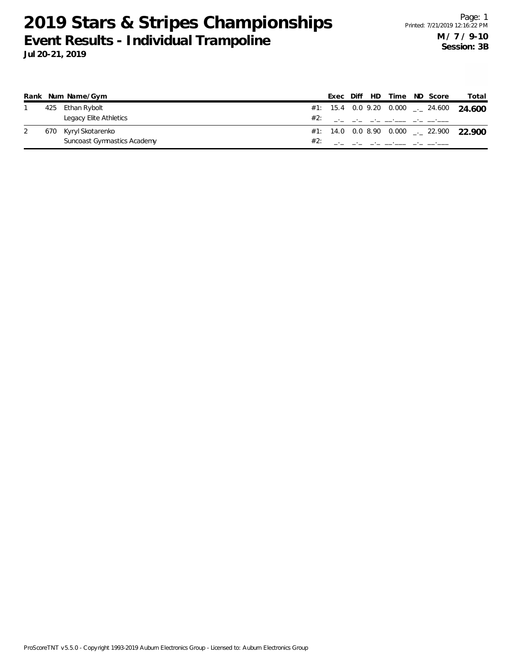|     | Rank Num Name/Gym           |     |  |                                             | Exec Diff HD Time ND Score | Total                                                 |
|-----|-----------------------------|-----|--|---------------------------------------------|----------------------------|-------------------------------------------------------|
|     | 425 Ethan Rybolt            |     |  |                                             |                            | #1: 15.4 0.0 9.20 0.000 $\frac{1}{2}$ 24.600 24.600   |
|     | Legacy Elite Athletics      | #2: |  | المتحصل فاجتزأ المستحقق فاجتزأ التحت المحتر |                            |                                                       |
| 670 | Kyryl Skotarenko            |     |  |                                             |                            | #1: 14.0 0.0 8.90 0.000 $_{\leftarrow}$ 22.900 22.900 |
|     | Suncoast Gymnastics Academy |     |  | والمستردعات والمستحقق الماحية والمناجين     |                            |                                                       |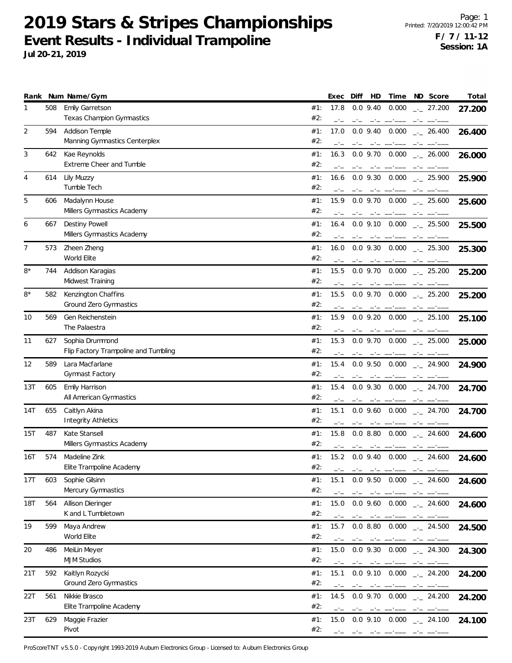**Jul 20-21, 2019**

|     |     | Rank Num Name/Gym                                       | Exec<br>HD<br>Time<br>ND Score<br>Total<br>Diff                                                                                                                                                                                                                                                                                                                                                                                                                                                                                                                             |
|-----|-----|---------------------------------------------------------|-----------------------------------------------------------------------------------------------------------------------------------------------------------------------------------------------------------------------------------------------------------------------------------------------------------------------------------------------------------------------------------------------------------------------------------------------------------------------------------------------------------------------------------------------------------------------------|
| 1   | 508 | Emily Garretson<br>Texas Champion Gymnastics            | #1:<br>17.8<br>$0.0$ 9.40<br>0.000<br>$\frac{1}{2}$ 27.200<br>27.200<br>#2:<br>$-1$<br>$-\,^{\circ}-$<br>المستنبذ المستنب المسائمين<br>$-1$                                                                                                                                                                                                                                                                                                                                                                                                                                 |
| 2   | 594 | Addison Temple<br>Manning Gymnastics Centerplex         | #1:<br>17.0<br>$0.0$ 9.40<br>0.000<br>$-26.400$<br>26.400<br>#2:                                                                                                                                                                                                                                                                                                                                                                                                                                                                                                            |
| 3   | 642 | Kae Reynolds<br>Extreme Cheer and Tumble                | #1:<br>16.3<br>$0.0$ 9.70 $0.000$<br>$\frac{1}{2}$ 26.000<br>26.000<br>#2:                                                                                                                                                                                                                                                                                                                                                                                                                                                                                                  |
| 4   | 614 | Lily Muzzy<br>Tumble Tech                               | $0.0$ 9.30 $0.000$<br>#1:<br>16.6<br>$\frac{1}{2}$ 25.900<br>25.900<br>#2:<br>$ -$                                                                                                                                                                                                                                                                                                                                                                                                                                                                                          |
| 5   | 606 | Madalynn House<br>Millers Gymnastics Academy            | 15.9<br>0.000<br>#1:<br>$0.0$ 9.70<br>$\frac{1}{2}$ 25.600<br>25.600<br>#2:<br>and the company of the company of<br>$-1$                                                                                                                                                                                                                                                                                                                                                                                                                                                    |
| 6   | 667 | Destiny Powell<br>Millers Gymnastics Academy            | $0.0$ 9.10 $0.000$<br>#1:<br>16.4<br>$\frac{1}{2}$ 25.500<br>25.500<br>#2:                                                                                                                                                                                                                                                                                                                                                                                                                                                                                                  |
| 7   | 573 | Zheen Zheng<br>World Elite                              | $0.0$ 9.30 $0.000$<br>#1:<br>16.0<br>$\frac{1}{2}$ 25.300<br>25.300<br>#2:                                                                                                                                                                                                                                                                                                                                                                                                                                                                                                  |
| 8*  | 744 | Addison Karagias<br>Midwest Training                    | $0.000$ _ 25.200<br>#1:<br>15.5<br>$0.0$ 9.70<br>25.200<br>#2:<br>مستحدث المستحدث<br>$-1$                                                                                                                                                                                                                                                                                                                                                                                                                                                                                   |
| 8*  | 582 | Kenzington Chaffins<br>Ground Zero Gymnastics           | 0.0 9.70 0.000<br>#1:<br>15.5<br>$\sim$ 25.200<br>25.200<br>#2:                                                                                                                                                                                                                                                                                                                                                                                                                                                                                                             |
| 10  | 569 | Gen Reichenstein<br>The Palaestra                       | #1:<br>15.9<br>$0.0$ 9.20 $0.000$<br>$\frac{1}{2}$ 25.100<br>25.100<br>#2:                                                                                                                                                                                                                                                                                                                                                                                                                                                                                                  |
| 11  | 627 | Sophia Drummond<br>Flip Factory Trampoline and Tumbling | 15.3<br>$0.0$ 9.70 $0.000$ $_{\leftarrow}$ 25.000<br>#1:<br>25.000<br>#2:<br>$-1$                                                                                                                                                                                                                                                                                                                                                                                                                                                                                           |
| 12  | 589 | Lara Macfarlane<br>Gymnast Factory                      | #1:<br>15.4<br>$0.0$ 9.50 $0.000$ $_{-1}$ 24.900<br>24.900<br>#2:<br>$-1$<br>$\frac{1}{2} \left( \frac{1}{2} \right) \left( \frac{1}{2} \right) \left( \frac{1}{2} \right) \left( \frac{1}{2} \right) \left( \frac{1}{2} \right) \left( \frac{1}{2} \right) \left( \frac{1}{2} \right) \left( \frac{1}{2} \right) \left( \frac{1}{2} \right) \left( \frac{1}{2} \right) \left( \frac{1}{2} \right) \left( \frac{1}{2} \right) \left( \frac{1}{2} \right) \left( \frac{1}{2} \right) \left( \frac{1}{2} \right) \left( \frac{1}{2} \right) \left( \frac$<br>$-1 - 1 - 1 - 1$ |
| 13T | 605 | Emily Harrison<br>All American Gymnastics               | $0.0$ 9.30 $0.000$<br>#1:<br>15.4<br>$-24.700$<br>24.700<br>#2:                                                                                                                                                                                                                                                                                                                                                                                                                                                                                                             |
| 14T | 655 | Caitlyn Akina<br><b>Integrity Athletics</b>             | #1:<br>15.1<br>$0.0$ 9.60 $0.000$<br>$-24.700$<br>24.700<br>#2:                                                                                                                                                                                                                                                                                                                                                                                                                                                                                                             |
| 15T | 487 | Kate Stansell<br>Millers Gymnastics Academy             | $0.0$ 8.80 $0.000$<br>#1:<br>15.8<br>$-24.600$<br>24.600<br>#2:<br>المستحامين المائم المحامل<br>$-1$                                                                                                                                                                                                                                                                                                                                                                                                                                                                        |
| 16T | 574 | Madeline Zink<br>Elite Trampoline Academy               | #1:<br>15.2 0.0 9.40 0.000 $\text{---}$ 24.600<br>24.600<br>#2:<br>----                                                                                                                                                                                                                                                                                                                                                                                                                                                                                                     |
| 17T | 603 | Sophie Gilsinn<br>Mercury Gymnastics                    | $0.0$ 9.50 $0.000$ $_{\leftarrow}$ 24.600<br>#1:<br>15.1<br>24.600<br>#2:<br>فستخلص المخالف المستسخلين المحاملة                                                                                                                                                                                                                                                                                                                                                                                                                                                             |
| 18T | 564 | Allison Dieringer<br>K and L Tumbletown                 | #1:<br>15.0<br>$0.0$ 9.60 $0.000$ $_{\leftarrow}$ 24.600<br>24.600<br>#2:                                                                                                                                                                                                                                                                                                                                                                                                                                                                                                   |
| 19  | 599 | Maya Andrew<br>World Elite                              | $0.08.80$ $0.000$ $\_{\cdot}$ 24.500<br>#1:<br>15.7<br>24.500<br>#2:<br>$-1$<br>and the contract of the contract of the contract of the contract of the contract of the contract of the contract of the contract of the contract of the contract of the contract of the contract of the contract of the contra                                                                                                                                                                                                                                                              |
| 20  | 486 | MeiLin Meyer<br><b>MJM Studios</b>                      | #1:<br>15.0<br>$0.0$ 9.30 $0.000$ $_{\leftarrow}$ 24.300<br>24.300<br>#2:<br>ستحصل سائل المسائلين سيتخلص والماسي المناقب                                                                                                                                                                                                                                                                                                                                                                                                                                                    |
| 21T | 592 | Kaitlyn Rozycki<br>Ground Zero Gymnastics               | #1:<br>15.1<br>$0.0$ 9.10 $0.000$ $_{\leftarrow}$ 24.200<br>24.200<br>#2:<br>and the component of the control of the control of the control of the control of the control of the control of the control of the control of the control of the control of the control of the control of the control of the co                                                                                                                                                                                                                                                                 |
| 22T | 561 | Nikkie Brasco<br>Elite Trampoline Academy               | #1:<br>14.5<br>$0.0$ 9.70 $0.000$ $_{\leftarrow}$ 24.200<br>24.200<br>#2:<br>$-1$<br>$-\cdot$ $-$<br>المواجه والمواجب والمستعمر فتنبيه والمواجب                                                                                                                                                                                                                                                                                                                                                                                                                             |
| 23T | 629 | Maggie Frazier<br>Pivot                                 | 15.0 $0.0$ 9.10 $0.000$ $\ldots$ 24.100<br>#1:<br>24.100<br>#2:<br>كالمراجع فتستحيث كالمحار المحتار المحت                                                                                                                                                                                                                                                                                                                                                                                                                                                                   |

ProScoreTNT v5.5.0 - Copyright 1993-2019 Auburn Electronics Group - Licensed to: Auburn Electronics Group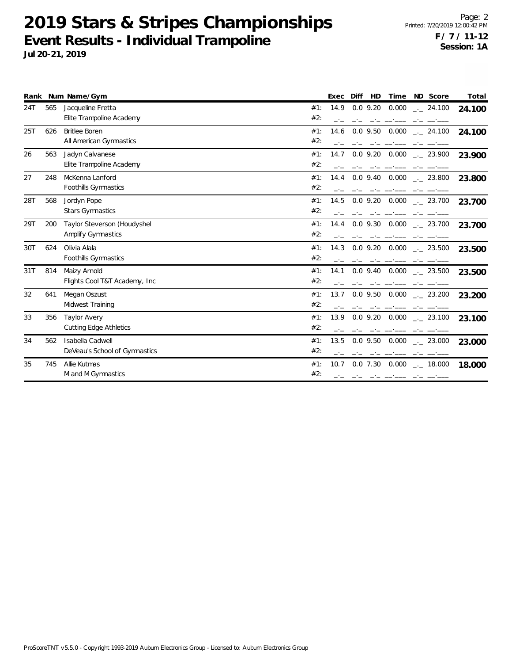| Rank |     | Num Name/Gym                                             | Diff<br>Time<br>ND Score<br>Total<br>Exec<br><b>HD</b>                                                                              |
|------|-----|----------------------------------------------------------|-------------------------------------------------------------------------------------------------------------------------------------|
| 24T  | 565 | Jacqueline Fretta<br>Elite Trampoline Academy            | $0.0$ 9.20<br>14.9<br>0.000<br>#1:<br>$-24.100$<br>24.100<br>#2:                                                                    |
| 25T  | 626 | <b>Britlee Boren</b><br>All American Gymnastics          | #1:<br>14.6<br>$0.0$ 9.50<br>0.000<br>$-24.100$<br>24.100<br>#2:                                                                    |
| 26   | 563 | Jadyn Calvanese<br>Elite Trampoline Academy              | $0.0$ 9.20 $0.000$ $_{\leftarrow}$ 23.900<br>14.7<br>#1:<br>23.900<br>#2:                                                           |
| 27   | 248 | McKenna Lanford<br><b>Foothills Gymnastics</b>           | $0.0$ 9.40 $0.000$ $_{\leftarrow}$ 23.800<br>14.4<br>#1:<br>23.800<br>#2:                                                           |
| 28T  | 568 | Jordyn Pope<br><b>Stars Gymnastics</b>                   | $0.0$ 9.20 $0.000$<br>#1:<br>14.5<br>$\sim$ 23.700<br>23.700<br>#2:                                                                 |
| 29T  | 200 | Taylor Steverson (Houdyshel<br><b>Amplify Gymnastics</b> | 0.000<br>14.4<br>$0.0$ 9.30<br>#1:<br>23.700<br>23.700<br>#2:                                                                       |
| 30T  | 624 | Olivia Alala<br>Foothills Gymnastics                     | 0.000<br>$0.0$ 9.20<br>#1:<br>14.3<br>$\frac{1}{2}$ 23.500<br>23.500<br>#2:                                                         |
| 31T  | 814 | Maizy Arnold<br>Flights Cool T&T Academy, Inc.           | #1:<br>$0.0$ 9.40 $0.000$ $_{\leftarrow}$ 23.500<br>14.1<br>23.500<br>#2:                                                           |
| 32   | 641 | Megan Oszust<br>Midwest Training                         | $0.0$ 9.50 $0.000$ $_{\sim}$ 23.200<br>#1:<br>13.7<br>23.200<br>#2:                                                                 |
| 33   | 356 | <b>Taylor Avery</b><br><b>Cutting Edge Athletics</b>     | $0.0$ 9.20 $0.000$ $_{-1}$ 23.100<br>#1:<br>13.9<br>23.100<br>#2:                                                                   |
| 34   | 562 | Isabella Cadwell<br>DeVeau's School of Gymnastics        | 0.0 9.50 0.000 $_{\leftarrow}$ 23.000<br>#1:<br>13.5<br>23.000<br>#2:<br>فالمسترد فترجين والمترجين والمترجم                         |
| 35   | 745 | Allie Kutmas<br>M and M Gymnastics                       | $0.0$ 7.30 $0.000$ $_{\leftarrow}$ 18.000<br>10.7<br>#1:<br>18.000<br>#2:<br>المستحققات المنافس المستحققات المنافس المساحي المنافسة |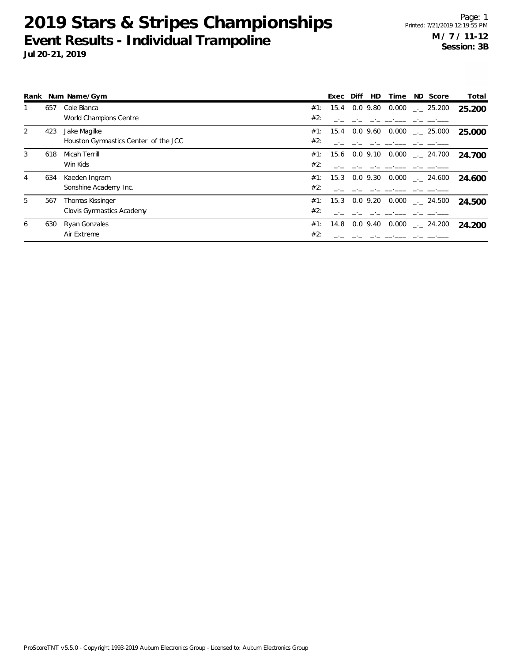|   |     | Rank Num Name/Gym                    |     | Exec | Diff | <b>HD</b>     | Time  | ND Score                       | Total  |
|---|-----|--------------------------------------|-----|------|------|---------------|-------|--------------------------------|--------|
|   | 657 | Cole Bianca                          | #1: | 15.4 |      | 0.0 9.80      | 0.000 | $-25.200$                      | 25.200 |
|   |     | World Champions Centre               | #2: |      |      |               |       |                                |        |
| 2 | 423 | Jake Magilke                         | #1: | 15.4 |      | 0.09.60       | 0.000 | $\sim$ 25.000                  | 25.000 |
|   |     | Houston Gymnastics Center of the JCC | #2: |      |      |               |       |                                |        |
| 3 | 618 | Micah Terrill                        | #1: |      |      | 15.6 0.0 9.10 |       | $0.000$ $_{\leftarrow}$ 24.700 | 24.700 |
|   |     | Win Kids                             | #2: |      |      |               |       |                                |        |
| 4 | 634 | Kaeden Ingram                        | #1: | 15.3 |      | $0.0\,9.30$   |       | $0.000$ $_{-.}$ 24.600         | 24.600 |
|   |     | Sonshine Academy Inc.                | #2: |      |      |               |       |                                |        |
| 5 | 567 | Thomas Kissinger                     | #1: | 15.3 |      | $0.0\,9.20$   | 0.000 | $\sim$ 24.500                  | 24.500 |
|   |     | Clovis Gymnastics Academy            | #2: |      |      |               |       |                                |        |
| 6 | 630 | Ryan Gonzales                        | #1: | 14.8 |      | $0.0\,9.40$   | 0.000 | $\sim$ 24.200                  | 24.200 |
|   |     | Air Extreme                          | #2: |      |      |               |       |                                |        |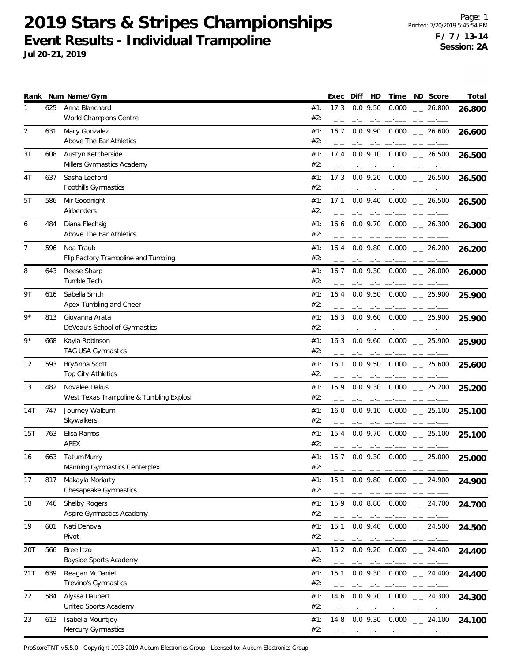**Jul 20-21, 2019**

|                |     | Rank Num Name/Gym                                         |            | Exec         | Diff | HD                                                                                                                                                                                                                                                                                                                                                                                                         | Time                                                                                                                                                                                                                                                                                                                                                                                                                                                                                                                                                                                                    |      | ND Score             | Total  |
|----------------|-----|-----------------------------------------------------------|------------|--------------|------|------------------------------------------------------------------------------------------------------------------------------------------------------------------------------------------------------------------------------------------------------------------------------------------------------------------------------------------------------------------------------------------------------------|---------------------------------------------------------------------------------------------------------------------------------------------------------------------------------------------------------------------------------------------------------------------------------------------------------------------------------------------------------------------------------------------------------------------------------------------------------------------------------------------------------------------------------------------------------------------------------------------------------|------|----------------------|--------|
| 1              | 625 | Anna Blanchard<br>World Champions Centre                  | #1:<br>#2: | 17.3         |      | $0.0$ 9.50                                                                                                                                                                                                                                                                                                                                                                                                 | 0.000                                                                                                                                                                                                                                                                                                                                                                                                                                                                                                                                                                                                   |      | $-26.800$            | 26.800 |
| $\overline{2}$ | 631 | Macy Gonzalez<br>Above The Bar Athletics                  | #1:<br>#2: | 16.7<br>$-1$ |      | $0.0$ 9.90                                                                                                                                                                                                                                                                                                                                                                                                 | 0.000                                                                                                                                                                                                                                                                                                                                                                                                                                                                                                                                                                                                   |      | $-26.600$            | 26.600 |
| 3T             | 608 | Austyn Ketcherside<br>Millers Gymnastics Academy          | #1:<br>#2: | 17.4<br>$-1$ | $-1$ | $0.0$ 9.10                                                                                                                                                                                                                                                                                                                                                                                                 | 0.000<br>سيست السبب السائسات                                                                                                                                                                                                                                                                                                                                                                                                                                                                                                                                                                            |      | $\frac{1}{2}$ 26.500 | 26.500 |
| 4T             | 637 | Sasha Ledford<br>Foothills Gymnastics                     | #1:<br>#2: | 17.3         |      | $0.0$ 9.20                                                                                                                                                                                                                                                                                                                                                                                                 | 0.000                                                                                                                                                                                                                                                                                                                                                                                                                                                                                                                                                                                                   |      | $\frac{1}{2}$ 26.500 | 26.500 |
| 5T             | 586 | Mir Goodnight<br>Airbenders                               | #1:<br>#2: | 17.1         |      | $0.0$ 9.40                                                                                                                                                                                                                                                                                                                                                                                                 | 0.000                                                                                                                                                                                                                                                                                                                                                                                                                                                                                                                                                                                                   |      | $\frac{1}{2}$ 26.500 | 26.500 |
| 6              | 484 | Diana Flechsig<br>Above The Bar Athletics                 | #1:<br>#2: | 16.6         |      | $0.0$ 9.70                                                                                                                                                                                                                                                                                                                                                                                                 | 0.000                                                                                                                                                                                                                                                                                                                                                                                                                                                                                                                                                                                                   |      | $-26.300$            | 26.300 |
| 7              | 596 | Noa Traub<br>Flip Factory Trampoline and Tumbling         | #1:<br>#2: | 16.4         |      | $0.0$ 9.80                                                                                                                                                                                                                                                                                                                                                                                                 | 0.000                                                                                                                                                                                                                                                                                                                                                                                                                                                                                                                                                                                                   |      | $\frac{1}{2}$ 26.200 | 26.200 |
| 8              | 643 | Reese Sharp<br>Tumble Tech                                | #1:<br>#2: | 16.7         |      | $0.0$ 9.30                                                                                                                                                                                                                                                                                                                                                                                                 | 0.000                                                                                                                                                                                                                                                                                                                                                                                                                                                                                                                                                                                                   |      | $\frac{1}{2}$ 26.000 | 26.000 |
| 9Τ             | 616 | Sabella Smith<br>Apex Tumbling and Cheer                  | #1:<br>#2: | 16.4         |      |                                                                                                                                                                                                                                                                                                                                                                                                            | $0.0$ 9.50 $0.000$                                                                                                                                                                                                                                                                                                                                                                                                                                                                                                                                                                                      |      | $\sim$ 25.900        | 25.900 |
| $9*$           | 813 | Giovanna Arata<br>DeVeau's School of Gymnastics           | #1:<br>#2: | 16.3         |      | $0.0$ 9.60<br>$-1$                                                                                                                                                                                                                                                                                                                                                                                         | 0.000                                                                                                                                                                                                                                                                                                                                                                                                                                                                                                                                                                                                   | $-1$ | $-25.900$            | 25.900 |
| $9*$           | 668 | Kayla Robinson<br>TAG USA Gymnastics                      | #1:<br>#2: | 16.3<br>$-1$ |      | $0.0$ 9.60<br>$-1$                                                                                                                                                                                                                                                                                                                                                                                         | 0.000                                                                                                                                                                                                                                                                                                                                                                                                                                                                                                                                                                                                   |      | $-25.900$            | 25.900 |
| 12             | 593 | BryAnna Scott<br>Top City Athletics                       | #1:<br>#2: | 16.1         |      | $0.0$ 9.50                                                                                                                                                                                                                                                                                                                                                                                                 | 0.000                                                                                                                                                                                                                                                                                                                                                                                                                                                                                                                                                                                                   |      | $\frac{1}{2}$ 25.600 | 25.600 |
| 13             | 482 | Novalee Dakus<br>West Texas Trampoline & Tumbling Explosi | #1:<br>#2: | 15.9         |      | $0.0$ 9.30                                                                                                                                                                                                                                                                                                                                                                                                 | 0.000                                                                                                                                                                                                                                                                                                                                                                                                                                                                                                                                                                                                   |      | $\frac{1}{2}$ 25.200 | 25.200 |
| 14T            | 747 | Journey Walburn<br>Skywalkers                             | #1:<br>#2: | 16.0<br>$-1$ | $-1$ | $0.0$ 9.10<br>$-1$                                                                                                                                                                                                                                                                                                                                                                                         | 0.000                                                                                                                                                                                                                                                                                                                                                                                                                                                                                                                                                                                                   | $-1$ | $\frac{1}{2}$ 25.100 | 25.100 |
| 15T            | 763 | Elisa Ramos<br>APEX                                       | #1:<br>#2: | 15.4         |      | $0.0$ 9.70<br>$\frac{1}{2} \frac{1}{2} \frac{1}{2} \frac{1}{2} \frac{1}{2} \frac{1}{2} \frac{1}{2} \frac{1}{2} \frac{1}{2} \frac{1}{2} \frac{1}{2} \frac{1}{2} \frac{1}{2} \frac{1}{2} \frac{1}{2} \frac{1}{2} \frac{1}{2} \frac{1}{2} \frac{1}{2} \frac{1}{2} \frac{1}{2} \frac{1}{2} \frac{1}{2} \frac{1}{2} \frac{1}{2} \frac{1}{2} \frac{1}{2} \frac{1}{2} \frac{1}{2} \frac{1}{2} \frac{1}{2} \frac{$ | 0.000                                                                                                                                                                                                                                                                                                                                                                                                                                                                                                                                                                                                   |      | $\frac{1}{2}$ 25.100 | 25.100 |
| 16             | 663 | <b>Tatum Murry</b><br>Manning Gymnastics Centerplex       | #1:<br>#2: | 15.7<br>$-1$ |      | $0.0$ 9.30                                                                                                                                                                                                                                                                                                                                                                                                 | $0.000$ _ 25.000<br>and the contract of the contract of the contract of the contract of the contract of the contract of the contract of the contract of the contract of the contract of the contract of the contract of the contract of the contra                                                                                                                                                                                                                                                                                                                                                      |      |                      | 25.000 |
| 17             | 817 | Makayla Moriarty<br>Chesapeake Gymnastics                 | #1:<br>#2: | 15.1<br>$-1$ |      | $0.0$ 9.80                                                                                                                                                                                                                                                                                                                                                                                                 | $0.000$ $_{--}$ 24.900                                                                                                                                                                                                                                                                                                                                                                                                                                                                                                                                                                                  |      |                      | 24.900 |
| 18             | 746 | Shelby Rogers<br>Aspire Gymnastics Academy                | #1:<br>#2: | 15.9         |      | 0.08.80<br>$-1$                                                                                                                                                                                                                                                                                                                                                                                            | 0.000                                                                                                                                                                                                                                                                                                                                                                                                                                                                                                                                                                                                   | $-1$ | $-24.700$            | 24.700 |
| 19             | 601 | Nati Denova<br>Pivot                                      | #1:<br>#2: | 15.1<br>$-1$ |      | $0.0$ 9.40                                                                                                                                                                                                                                                                                                                                                                                                 | 0.000                                                                                                                                                                                                                                                                                                                                                                                                                                                                                                                                                                                                   |      | $-24.500$            | 24.500 |
| 20T            | 566 | Bree Itzo<br>Bayside Sports Academy                       | #1:<br>#2: | 15.2         |      | والمستور المترامين                                                                                                                                                                                                                                                                                                                                                                                         | $0.0$ 9.20 $0.000$                                                                                                                                                                                                                                                                                                                                                                                                                                                                                                                                                                                      |      | $-24.400$            | 24.400 |
| 21T            | 639 | Reagan McDaniel<br>Trevino's Gymnastics                   | #1:<br>#2: | 15.1         |      |                                                                                                                                                                                                                                                                                                                                                                                                            | $0.0$ 9.30 $0.000$ $_{\leftarrow}$ 24.400<br>$\begin{tabular}{ll} \multicolumn{2}{l}{{\color{red}\boldsymbol{m}}}\\ \multicolumn{2}{l}{\color{blue}\boldsymbol{m}}\\ \multicolumn{2}{l}{\color{blue}\boldsymbol{m}}\\ \multicolumn{2}{l}{\color{blue}\boldsymbol{m}}\\ \multicolumn{2}{l}{\color{blue}\boldsymbol{m}}\\ \multicolumn{2}{l}{\color{blue}\boldsymbol{m}}\\ \multicolumn{2}{l}{\color{blue}\boldsymbol{m}}\\ \multicolumn{2}{l}{\color{blue}\boldsymbol{m}}\\ \multicolumn{2}{l}{\color{blue}\boldsymbol{m}}\\ \multicolumn{2}{l}{\color{blue}\boldsymbol{m}}\\ \multicolumn{2}{l}{\color$ |      |                      | 24.400 |
| 22             | 584 | Alyssa Daubert<br>United Sports Academy                   | #1:<br>#2: | 14.6<br>$-1$ | $-1$ | $0.0$ 9.70                                                                                                                                                                                                                                                                                                                                                                                                 | 0.000<br>_______                                                                                                                                                                                                                                                                                                                                                                                                                                                                                                                                                                                        | $-1$ | $-24.300$            | 24.300 |
| 23             | 613 | Isabella Mountjoy<br>Mercury Gymnastics                   | #1:<br>#2: | 14.8         |      | $0.0$ 9.30                                                                                                                                                                                                                                                                                                                                                                                                 | 0.000<br>and the contract of the contract of                                                                                                                                                                                                                                                                                                                                                                                                                                                                                                                                                            |      | $-24.100$            | 24.100 |

ProScoreTNT v5.5.0 - Copyright 1993-2019 Auburn Electronics Group - Licensed to: Auburn Electronics Group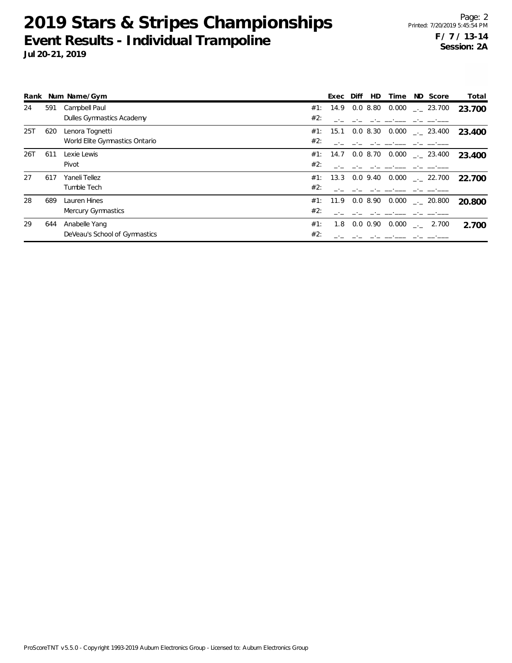|     |     | Rank Num Name/Gym              | HD<br>ND Score<br>Diff<br>Time<br>Exec                           | Total  |
|-----|-----|--------------------------------|------------------------------------------------------------------|--------|
| 24  | 591 | Campbell Paul                  | 0.08.80<br>$0.000$ $_{--}$ 23.700<br>14.9<br>#1:                 | 23.700 |
|     |     | Dulles Gymnastics Academy      | #2:                                                              |        |
| 25T | 620 | Lenora Tognetti                | 0.000<br>#1: 15.1 0.0 8.30<br>$\frac{1}{2}$ 23.400               | 23.400 |
|     |     | World Elite Gymnastics Ontario | #2:                                                              |        |
| 26T | 611 | Lexie Lewis                    | $0.0\,8.70$<br>$0.000$ $_{-.}$ 23.400<br>#1: 14.7                | 23.400 |
|     |     | Pivot                          | #2:                                                              |        |
| 27  | 617 | Yaneli Tellez                  | $0.0\,9.40$<br>$0.000$ $_{\leftarrow}$ 22.700<br>#1:<br>13.3     | 22.700 |
|     |     | Tumble Tech                    | #2:                                                              |        |
| 28  | 689 | Lauren Hines                   | 0.08.90<br>$0.000$ _._ 20.800<br>#1: 11.9                        | 20,800 |
|     |     | Mercury Gymnastics             | #2:                                                              |        |
| 29  | 644 | Anabelle Yang                  | #1:<br>$0.0 \, 0.90$<br>0.000<br>1.8<br>2.700<br><b>Contract</b> | 2.700  |
|     |     | DeVeau's School of Gymnastics  | #2:                                                              |        |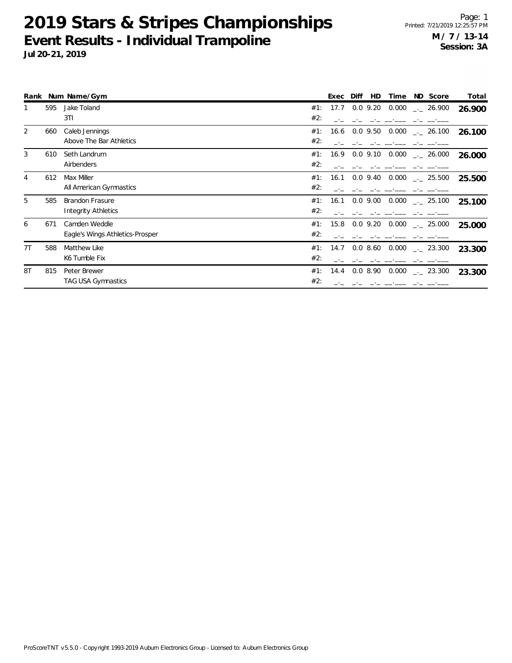|    |     | Rank Num Name/Gym               |     | Exec | Diff<br>HD.        | Time  | ND Score             | Total  |
|----|-----|---------------------------------|-----|------|--------------------|-------|----------------------|--------|
|    | 595 | Jake Toland                     | #1: | 17.7 | $0.0$ 9.20 $0.000$ |       | $-26.900$            | 26.900 |
|    |     | 3T1                             | #2: |      |                    |       |                      |        |
| 2  | 660 | Caleb Jennings                  | #1: | 16.6 | $0.0$ 9.50         | 0.000 | $\frac{1}{2}$ 26.100 | 26.100 |
|    |     | Above The Bar Athletics         | #2: |      |                    |       |                      |        |
| 3  | 610 | Seth Landrum                    | #1: | 16.9 | $0.0$ 9.10         | 0.000 | $-26.000$            | 26.000 |
|    |     | Airbenders                      | #2: |      |                    |       |                      |        |
| 4  | 612 | Max Miller                      | #1: | 16.1 | $0.0$ 9.40         | 0.000 | $\sim$ 25.500        | 25.500 |
|    |     | All American Gymnastics         | #2: |      |                    |       |                      |        |
| 5  | 585 | <b>Brandon Frasure</b>          | #1: | 16.1 | $0.0$ 9.00         | 0.000 | $\frac{1}{2}$ 25.100 | 25.100 |
|    |     | Integrity Athletics             | #2: |      |                    |       |                      |        |
| 6  | 671 | Camden Weddle                   | #1: | 15.8 | $0.0$ 9.20         | 0.000 | $-25.000$            | 25,000 |
|    |     | Eagle's Wings Athletics-Prosper | #2: |      |                    |       |                      |        |
| 7T | 588 | Matthew Like                    | #1: | 14.7 | 0.0 8.60           | 0.000 | $-23.300$            | 23.300 |
|    |     | K6 Tumble Fix                   | #2: |      |                    |       |                      |        |
| 8T | 815 | Peter Brewer                    | #1: | 14.4 | 0.08.90            |       | $0.000$ _ 23.300     | 23.300 |
|    |     | <b>TAG USA Gymnastics</b>       | #2: |      |                    |       |                      |        |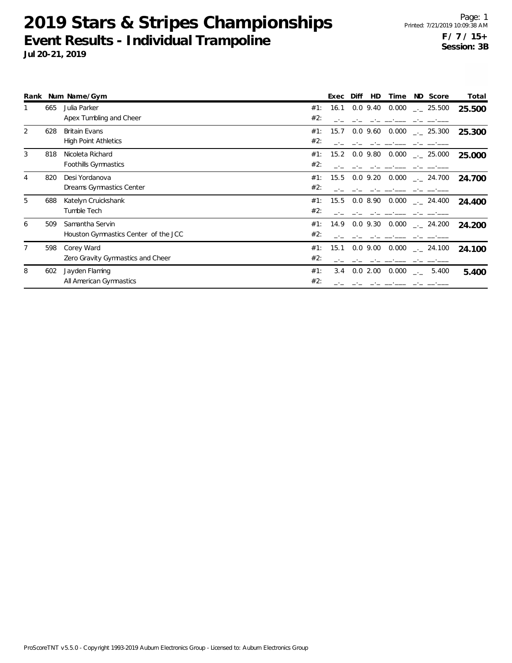|   |     | Rank Num Name/Gym                    |     | Exec | Diff<br>HD | Time  | ND Score               | Total  |
|---|-----|--------------------------------------|-----|------|------------|-------|------------------------|--------|
|   | 665 | Julia Parker                         | #1: | 16.1 | $0.0$ 9.40 | 0.000 | $-25.500$              | 25.500 |
|   |     | Apex Tumbling and Cheer              | #2: |      |            |       |                        |        |
| 2 | 628 | <b>Britain Evans</b>                 | #1: | 15.7 | $0.0$ 9.60 | 0.000 | $\frac{1}{2}$ 25.300   | 25.300 |
|   |     | <b>High Point Athletics</b>          | #2: |      |            |       |                        |        |
| 3 | 818 | Nicoleta Richard                     | #1: | 15.2 | $0.0$ 9.80 | 0.000 | $\frac{1}{2}$ 25.000   | 25.000 |
|   |     | Foothills Gymnastics                 | #2: |      |            |       |                        |        |
| 4 | 820 | Desi Yordanova                       | #1: | 15.5 | $0.0$ 9.20 | 0.000 | $-24.700$              | 24.700 |
|   |     | Dreams Gymnastics Center             | #2: |      |            |       |                        |        |
| 5 | 688 | Katelyn Cruickshank                  | #1: | 15.5 | 0.08.90    | 0.000 | $-24.400$              | 24.400 |
|   |     | Tumble Tech                          | #2: |      |            |       |                        |        |
| 6 | 509 | Samantha Servin                      | #1: | 14.9 | $0.0$ 9.30 | 0.000 | $-24.200$              | 24.200 |
|   |     | Houston Gymnastics Center of the JCC | #2: |      |            |       |                        |        |
| 7 | 598 | Corey Ward                           | #1: | 15.1 | $0.0$ 9.00 | 0.000 | $-24.100$              | 24.100 |
|   |     | Zero Gravity Gymnastics and Cheer    | #2: |      |            |       |                        |        |
| 8 | 602 | Jayden Flaming                       | #1: | 3.4  | 0.02.00    | 0.000 | 5.400<br>$\rightarrow$ | 5.400  |
|   |     | All American Gymnastics              | #2: |      |            |       |                        |        |